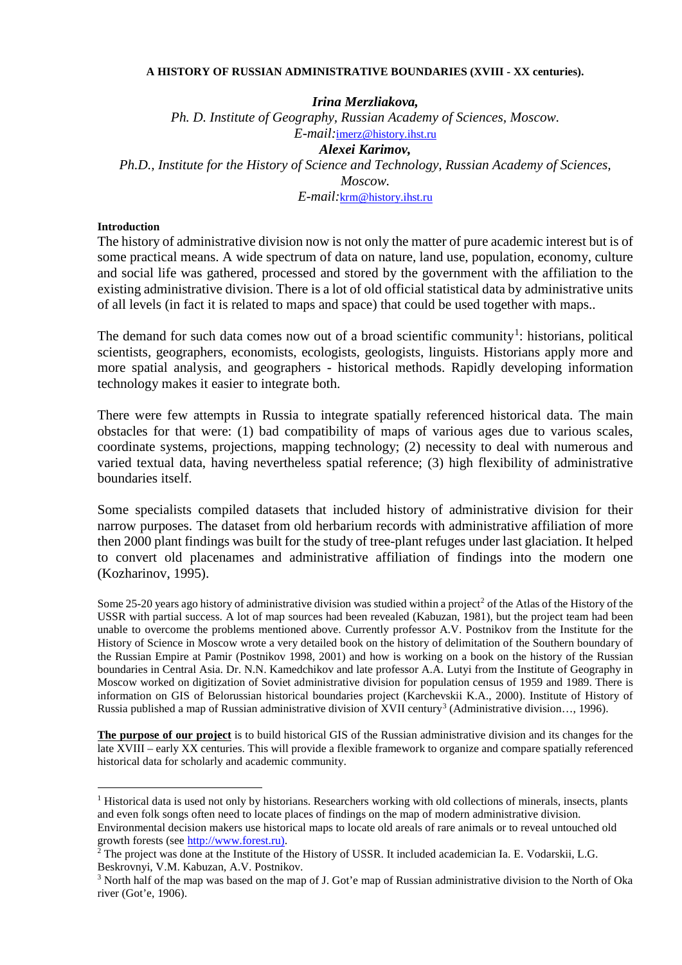### **A HISTORY OF RUSSIAN ADMINISTRATIVE BOUNDARIES (XVIII - XX centuries).**

*Irina Merzliakova, Ph. D. Institute of Geography, Russian Academy of Sciences, Moscow. E-mail:*[imerz@history.ihst.ru](mailto:imerz@history.ihst.ru) *Alexei Karimov, Ph.D., Institute for the History of Science and Technology, Russian Academy of Sciences, Moscow. E-mail:*[krm@history.ihst.ru](mailto:krm@history.ihst.ru)

## **Introduction**

The history of administrative division now is not only the matter of pure academic interest but is of some practical means. A wide spectrum of data on nature, land use, population, economy, culture and social life was gathered, processed and stored by the government with the affiliation to the existing administrative division. There is a lot of old official statistical data by administrative units of all levels (in fact it is related to maps and space) that could be used together with maps..

The demand for such data comes now out of a broad scientific community<sup>[1](#page-0-0)</sup>: historians, political scientists, geographers, economists, ecologists, geologists, linguists. Historians apply more and more spatial analysis, and geographers - historical methods. Rapidly developing information technology makes it easier to integrate both.

There were few attempts in Russia to integrate spatially referenced historical data. The main obstacles for that were: (1) bad compatibility of maps of various ages due to various scales, coordinate systems, projections, mapping technology; (2) necessity to deal with numerous and varied textual data, having nevertheless spatial reference; (3) high flexibility of administrative boundaries itself.

Some specialists compiled datasets that included history of administrative division for their narrow purposes. The dataset from old herbarium records with administrative affiliation of more then 2000 plant findings was built for the study of tree-plant refuges under last glaciation. It helped to convert old placenames and administrative affiliation of findings into the modern one (Kozharinov, 1995).

Some [2](#page-0-1)5-20 years ago history of administrative division was studied within a project<sup>2</sup> of the Atlas of the History of the USSR with partial success. A lot of map sources had been revealed (Kabuzan, 1981), but the project team had been unable to overcome the problems mentioned above. Currently professor A.V. Postnikov from the Institute for the History of Science in Moscow wrote a very detailed book on the history of delimitation of the Southern boundary of the Russian Empire at Pamir (Postnikov 1998, 2001) and how is working on a book on the history of the Russian boundaries in Central Asia. Dr. N.N. Kamedchikov and late professor A.A. Lutyi from the Institute of Geography in Moscow worked on digitization of Soviet administrative division for population census of 1959 and 1989. There is information on GIS of Belorussian historical boundaries project (Karchevskii K.A., 2000). Institute of History of Russia published a map of Russian administrative division of XVII century<sup>[3](#page-0-2)</sup> (Administrative division..., 1996).

**The purpose of our project** is to build historical GIS of the Russian administrative division and its changes for the late XVIII – early XX centuries. This will provide a flexible framework to organize and compare spatially referenced historical data for scholarly and academic community.

<span id="page-0-0"></span> $<sup>1</sup>$  Historical data is used not only by historians. Researchers working with old collections of minerals, insects, plants</sup> and even folk songs often need to locate places of findings on the map of modern administrative division. Environmental decision makers use historical maps to locate old areals of rare animals or to reveal untouched old

<span id="page-0-1"></span>growth forests (se[e http://www.forest.ru\).](http://www.forest.ru)/)<br><sup>2</sup> The project was done at the Institute of the History of USSR. It included academician Ia. E. Vodarskii, L.G. Beskrovnyi, V.M. Kabuzan, A.V. Postnikov.

<span id="page-0-2"></span><sup>&</sup>lt;sup>3</sup> North half of the map was based on the map of J. Got'e map of Russian administrative division to the North of Oka river (Got'e, 1906).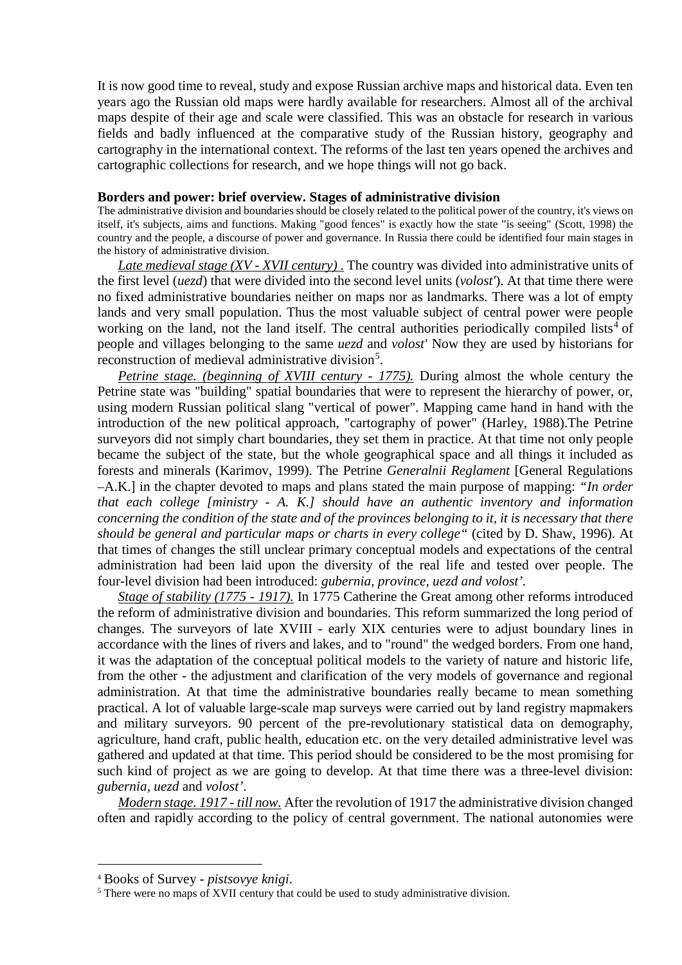It is now good time to reveal, study and expose Russian archive maps and historical data. Even ten years ago the Russian old maps were hardly available for researchers. Almost all of the archival maps despite of their age and scale were classified. This was an obstacle for research in various fields and badly influenced at the comparative study of the Russian history, geography and cartography in the international context. The reforms of the last ten years opened the archives and cartographic collections for research, and we hope things will not go back.

## **Borders and power: brief overview. Stages of administrative division**

The administrative division and boundaries should be closely related to the political power of the country, it's views on itself, it's subjects, aims and functions. Making "good fences" is exactly how the state "is seeing" (Scott, 1998) the country and the people, a discourse of power and governance. In Russia there could be identified four main stages in the history of administrative division.

*Late medieval stage (XV - XVII century)* . The country was divided into administrative units of the first level (*uezd*) that were divided into the second level units (*volost'*). At that time there were no fixed administrative boundaries neither on maps nor as landmarks. There was a lot of empty lands and very small population. Thus the most valuable subject of central power were people working on the land, not the land itself. The central authorities periodically compiled lists<sup>[4](#page-1-0)</sup> of people and villages belonging to the same *uezd* and *volost'* Now they are used by historians for reconstruction of medieval administrative division<sup>[5](#page-1-1)</sup>.

*Petrine stage. (beginning of XVIII century - 1775).* During almost the whole century the Petrine state was "building" spatial boundaries that were to represent the hierarchy of power, or, using modern Russian political slang "vertical of power". Mapping came hand in hand with the introduction of the new political approach, "cartography of power" (Harley, 1988).The Petrine surveyors did not simply chart boundaries, they set them in practice. At that time not only people became the subject of the state, but the whole geographical space and all things it included as forests and minerals (Karimov, 1999). The Petrine *Generalnii Reglament* [General Regulations –A.K.] in the chapter devoted to maps and plans stated the main purpose of mapping: *"In order that each college [ministry - A. K.] should have an authentic inventory and information concerning the condition of the state and of the provinces belonging to it, it is necessary that there should be general and particular maps or charts in every college"* (cited by D. Shaw, 1996). At that times of changes the still unclear primary conceptual models and expectations of the central administration had been laid upon the diversity of the real life and tested over people. The four-level division had been introduced: *gubernia, province, uezd and volost'.*

*Stage of stability (1775 - 1917).* In 1775 Catherine the Great among other reforms introduced the reform of administrative division and boundaries. This reform summarized the long period of changes. The surveyors of late XVIII - early XIX centuries were to adjust boundary lines in accordance with the lines of rivers and lakes, and to "round" the wedged borders. From one hand, it was the adaptation of the conceptual political models to the variety of nature and historic life, from the other - the adjustment and clarification of the very models of governance and regional administration. At that time the administrative boundaries really became to mean something practical. A lot of valuable large-scale map surveys were carried out by land registry mapmakers and military surveyors. 90 percent of the pre-revolutionary statistical data on demography, agriculture, hand craft, public health, education etc. on the very detailed administrative level was gathered and updated at that time. This period should be considered to be the most promising for such kind of project as we are going to develop. At that time there was a three-level division: *gubernia, uezd* and *volost'*.

*Modern stage. 1917 - till now.* After the revolution of 1917 the administrative division changed often and rapidly according to the policy of central government. The national autonomies were

<span id="page-1-0"></span> <sup>4</sup> Books of Survey - *pistsovye knigi*.

<span id="page-1-1"></span><sup>&</sup>lt;sup>5</sup> There were no maps of XVII century that could be used to study administrative division.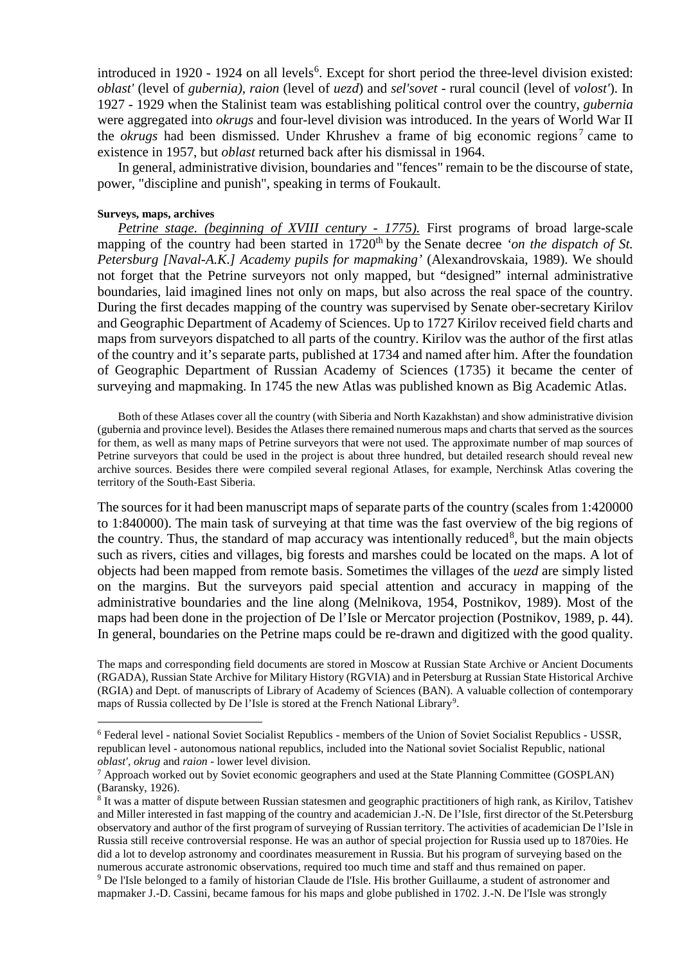introduced in 1920 - 1924 on all levels<sup>[6](#page-2-0)</sup>. Except for short period the three-level division existed: *oblast'* (level of *gubernia), raion* (level of *uezd*) and *sel'sovet* - rural council (level of *volost'*). In 1927 - 1929 when the Stalinist team was establishing political control over the country, *gubernia* were aggregated into *okrugs* and four-level division was introduced. In the years of World War II the *okrugs* had been dismissed. Under Khrushev a frame of big economic regions<sup>[7](#page-2-1)</sup> came to existence in 1957, but *oblast* returned back after his dismissal in 1964.

In general, administrative division, boundaries and "fences" remain to be the discourse of state, power, "discipline and punish", speaking in terms of Foukault.

#### **Surveys, maps, archives**

*Petrine stage. (beginning of XVIII century - 1775).* First programs of broad large-scale mapping of the country had been started in 1720<sup>th</sup> by the Senate decree *'on the dispatch of St*. *Petersburg [Naval-A.K.] Academy pupils for mapmaking'* (Alexandrovskaia, 1989). We should not forget that the Petrine surveyors not only mapped, but "designed" internal administrative boundaries, laid imagined lines not only on maps, but also across the real space of the country. During the first decades mapping of the country was supervised by Senate ober-secretary Kirilov and Geographic Department of Academy of Sciences. Up to 1727 Kirilov received field charts and maps from surveyors dispatched to all parts of the country. Kirilov was the author of the first atlas of the country and it's separate parts, published at 1734 and named after him. After the foundation of Geographic Department of Russian Academy of Sciences (1735) it became the center of surveying and mapmaking. In 1745 the new Atlas was published known as Big Academic Atlas.

Both of these Atlases cover all the country (with Siberia and North Kazakhstan) and show administrative division (gubernia and province level). Besides the Atlases there remained numerous maps and charts that served as the sources for them, as well as many maps of Petrine surveyors that were not used. The approximate number of map sources of Petrine surveyors that could be used in the project is about three hundred, but detailed research should reveal new archive sources. Besides there were compiled several regional Atlases, for example, Nerchinsk Atlas covering the territory of the South-East Siberia.

The sources for it had been manuscript maps of separate parts of the country (scales from 1:420000 to 1:840000). The main task of surveying at that time was the fast overview of the big regions of the country. Thus, the standard of map accuracy was intentionally reduced<sup>[8](#page-2-2)</sup>, but the main objects such as rivers, cities and villages, big forests and marshes could be located on the maps. A lot of objects had been mapped from remote basis. Sometimes the villages of the *uezd* are simply listed on the margins. But the surveyors paid special attention and accuracy in mapping of the administrative boundaries and the line along (Melnikova, 1954, Postnikov, 1989). Most of the maps had been done in the projection of De l'Isle or Mercator projection (Postnikov, 1989, p. 44). In general, boundaries on the Petrine maps could be re-drawn and digitized with the good quality.

The maps and corresponding field documents are stored in Moscow at Russian State Archive or Ancient Documents (RGADA), Russian State Archive for Military History (RGVIA) and in Petersburg at Russian State Historical Archive (RGIA) and Dept. of manuscripts of Library of Academy of Sciences (BAN). A valuable collection of contemporary maps of Russia collected by De l'Isle is stored at the French National Library<sup>[9](#page-2-3)</sup>.

<span id="page-2-0"></span> <sup>6</sup> Federal level - national Soviet Socialist Republics - members of the Union of Soviet Socialist Republics - USSR, republican level - autonomous national republics, included into the National soviet Socialist Republic, national *oblast', okrug* and *raion* - lower level division.

<span id="page-2-1"></span> $^7$  Approach worked out by Soviet economic geographers and used at the State Planning Committee (GOSPLAN) (Baransky, 1926).

<span id="page-2-2"></span><sup>8</sup> It was a matter of dispute between Russian statesmen and geographic practitioners of high rank, as Kirilov, Tatishev and Miller interested in fast mapping of the country and academician J.-N. De l'Isle, first director of the St.Petersburg observatory and author of the first program of surveying of Russian territory. The activities of academician De l'Isle in Russia still receive controversial response. He was an author of special projection for Russia used up to 1870ies. He did a lot to develop astronomy and coordinates measurement in Russia. But his program of surveying based on the numerous accurate astronomic observations, required too much time and staff and thus remained on paper.

<span id="page-2-3"></span><sup>&</sup>lt;sup>9</sup> De l'Isle belonged to a family of historian Claude de l'Isle. His brother Guillaume, a student of astronomer and mapmaker J.-D. Cassini, became famous for his maps and globe published in 1702. J.-N. De l'Isle was strongly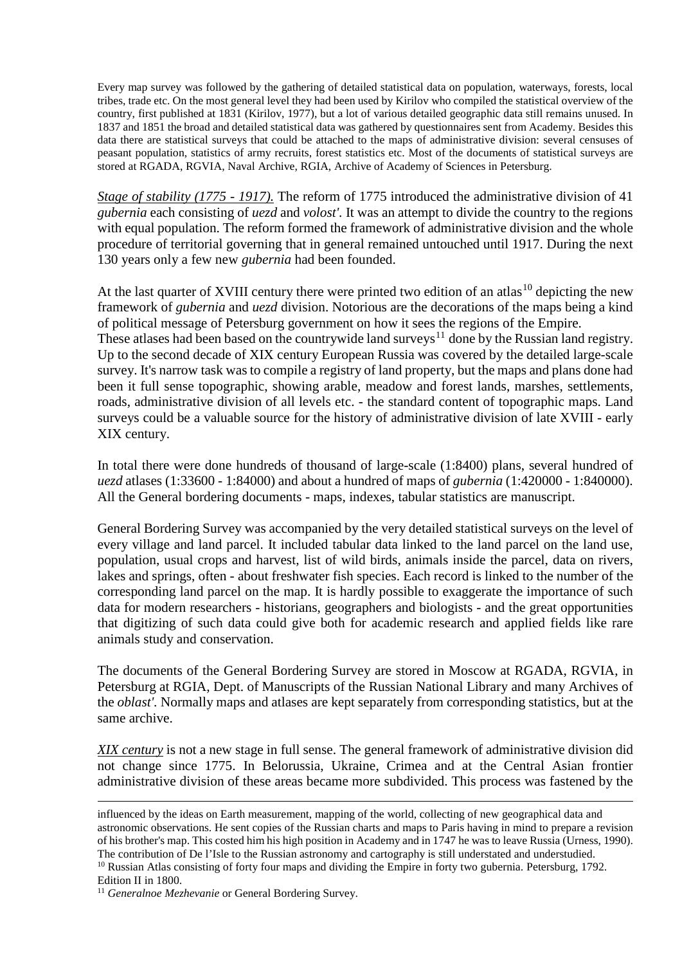Every map survey was followed by the gathering of detailed statistical data on population, waterways, forests, local tribes, trade etc. On the most general level they had been used by Kirilov who compiled the statistical overview of the country, first published at 1831 (Kirilov, 1977), but a lot of various detailed geographic data still remains unused. In 1837 and 1851 the broad and detailed statistical data was gathered by questionnaires sent from Academy. Besides this data there are statistical surveys that could be attached to the maps of administrative division: several censuses of peasant population, statistics of army recruits, forest statistics etc. Most of the documents of statistical surveys are stored at RGADA, RGVIA, Naval Archive, RGIA, Archive of Academy of Sciences in Petersburg.

*Stage of stability (1775 - 1917).* The reform of 1775 introduced the administrative division of 41 *gubernia* each consisting of *uezd* and *volost'.* It was an attempt to divide the country to the regions with equal population. The reform formed the framework of administrative division and the whole procedure of territorial governing that in general remained untouched until 1917. During the next 130 years only a few new *gubernia* had been founded.

At the last quarter of XVIII century there were printed two edition of an atlas<sup>[10](#page-3-0)</sup> depicting the new framework of *gubernia* and *uezd* division. Notorious are the decorations of the maps being a kind of political message of Petersburg government on how it sees the regions of the Empire.

These atlases had been based on the countrywide land surveys<sup>[11](#page-3-1)</sup> done by the Russian land registry. Up to the second decade of XIX century European Russia was covered by the detailed large-scale survey. It's narrow task was to compile a registry of land property, but the maps and plans done had been it full sense topographic, showing arable, meadow and forest lands, marshes, settlements, roads, administrative division of all levels etc. - the standard content of topographic maps. Land surveys could be a valuable source for the history of administrative division of late XVIII - early XIX century.

In total there were done hundreds of thousand of large-scale (1:8400) plans, several hundred of *uezd* atlases (1:33600 - 1:84000) and about a hundred of maps of *gubernia* (1:420000 - 1:840000). All the General bordering documents - maps, indexes, tabular statistics are manuscript.

General Bordering Survey was accompanied by the very detailed statistical surveys on the level of every village and land parcel. It included tabular data linked to the land parcel on the land use, population, usual crops and harvest, list of wild birds, animals inside the parcel, data on rivers, lakes and springs, often - about freshwater fish species. Each record is linked to the number of the corresponding land parcel on the map. It is hardly possible to exaggerate the importance of such data for modern researchers - historians, geographers and biologists - and the great opportunities that digitizing of such data could give both for academic research and applied fields like rare animals study and conservation.

The documents of the General Bordering Survey are stored in Moscow at RGADA, RGVIA, in Petersburg at RGIA, Dept. of Manuscripts of the Russian National Library and many Archives of the *oblast'.* Normally maps and atlases are kept separately from corresponding statistics, but at the same archive.

*XIX century* is not a new stage in full sense. The general framework of administrative division did not change since 1775. In Belorussia, Ukraine, Crimea and at the Central Asian frontier administrative division of these areas became more subdivided. This process was fastened by the

<span id="page-3-0"></span>Edition II in 1800.

<span id="page-3-1"></span><sup>11</sup> Generalnoe Mezhevanie or General Bordering Survey.

<u>.</u>

influenced by the ideas on Earth measurement, mapping of the world, collecting of new geographical data and astronomic observations. He sent copies of the Russian charts and maps to Paris having in mind to prepare a revision of his brother's map. This costed him his high position in Academy and in 1747 he was to leave Russia (Urness, 1990). The contribution of De l'Isle to the Russian astronomy and cartography is still understated and understudied.  $10$  Russian Atlas consisting of forty four maps and dividing the Empire in forty two gubernia. Petersburg, 1792.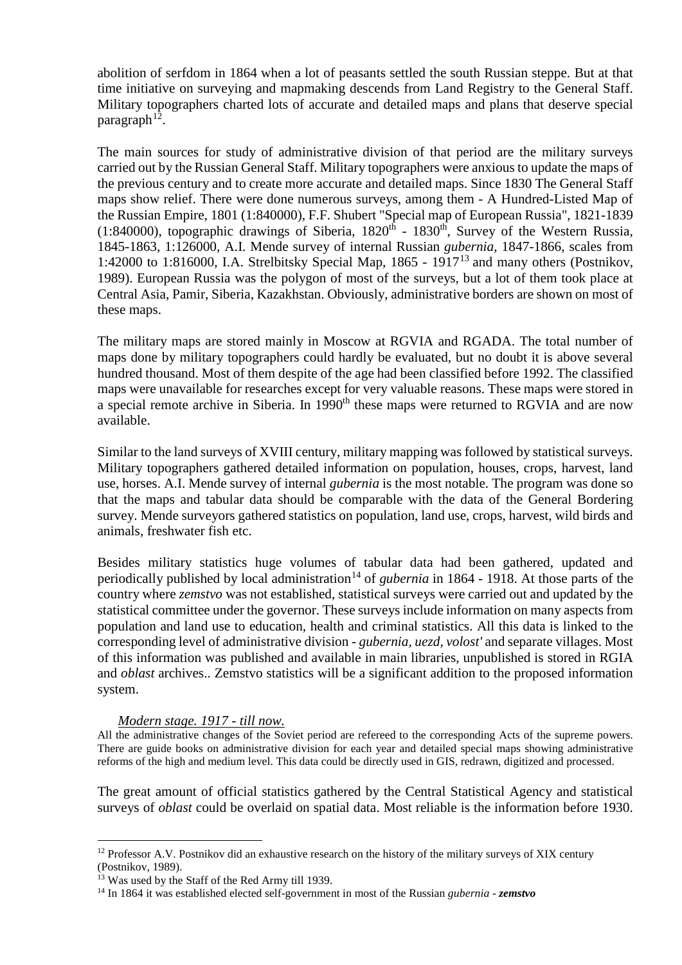abolition of serfdom in 1864 when a lot of peasants settled the south Russian steppe. But at that time initiative on surveying and mapmaking descends from Land Registry to the General Staff. Military topographers charted lots of accurate and detailed maps and plans that deserve special paragraph<sup>12</sup>.

The main sources for study of administrative division of that period are the military surveys carried out by the Russian General Staff. Military topographers were anxious to update the maps of the previous century and to create more accurate and detailed maps. Since 1830 The General Staff maps show relief. There were done numerous surveys, among them - A Hundred-Listed Map of the Russian Empire, 1801 (1:840000), F.F. Shubert "Special map of European Russia", 1821-1839 (1:840000), topographic drawings of Siberia,  $1820<sup>th</sup>$  -  $1830<sup>th</sup>$ , Survey of the Western Russia, 1845-1863, 1:126000, A.I. Mende survey of internal Russian *gubernia*, 1847-1866, scales from 1:42000 to 1:816000, I.A. Strelbitsky Special Map, 1865 - 1917[13](#page-4-1) and many others (Postnikov, 1989). European Russia was the polygon of most of the surveys, but a lot of them took place at Central Asia, Pamir, Siberia, Kazakhstan. Obviously, administrative borders are shown on most of these maps.

The military maps are stored mainly in Moscow at RGVIA and RGADA. The total number of maps done by military topographers could hardly be evaluated, but no doubt it is above several hundred thousand. Most of them despite of the age had been classified before 1992. The classified maps were unavailable for researches except for very valuable reasons. These maps were stored in a special remote archive in Siberia. In 1990<sup>th</sup> these maps were returned to RGVIA and are now available.

Similar to the land surveys of XVIII century, military mapping was followed by statistical surveys. Military topographers gathered detailed information on population, houses, crops, harvest, land use, horses. A.I. Mende survey of internal *gubernia* is the most notable. The program was done so that the maps and tabular data should be comparable with the data of the General Bordering survey. Mende surveyors gathered statistics on population, land use, crops, harvest, wild birds and animals, freshwater fish etc.

Besides military statistics huge volumes of tabular data had been gathered, updated and periodically published by local administration<sup>[14](#page-4-2)</sup> of *gubernia* in 1864 - 1918. At those parts of the country where *zemstvo* was not established, statistical surveys were carried out and updated by the statistical committee under the governor. These surveys include information on many aspects from population and land use to education, health and criminal statistics. All this data is linked to the corresponding level of administrative division - *gubernia, uezd, volost'* and separate villages. Most of this information was published and available in main libraries, unpublished is stored in RGIA and *oblast* archives.. Zemstvo statistics will be a significant addition to the proposed information system.

# *Modern stage. 1917 - till now.*

All the administrative changes of the Soviet period are refereed to the corresponding Acts of the supreme powers. There are guide books on administrative division for each year and detailed special maps showing administrative reforms of the high and medium level. This data could be directly used in GIS, redrawn, digitized and processed.

The great amount of official statistics gathered by the Central Statistical Agency and statistical surveys of *oblast* could be overlaid on spatial data. Most reliable is the information before 1930.

<span id="page-4-0"></span><sup>&</sup>lt;sup>12</sup> Professor A.V. Postnikov did an exhaustive research on the history of the military surveys of XIX century (Postnikov, 1989).

<span id="page-4-1"></span><sup>&</sup>lt;sup>13</sup> Was used by the Staff of the Red Army till 1939.

<span id="page-4-2"></span><sup>14</sup> In 1864 it was established elected self-government in most of the Russian *gubernia* - *zemstvo*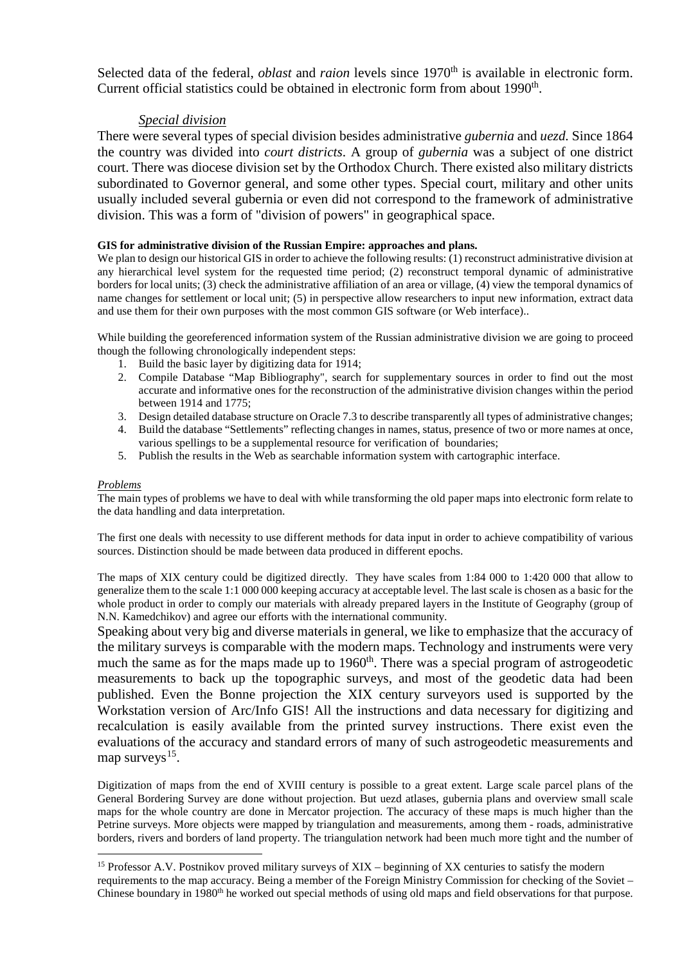Selected data of the federal, *oblast* and *raion* levels since 1970<sup>th</sup> is available in electronic form. Current official statistics could be obtained in electronic form from about 1990<sup>th</sup>.

# *Special division*

There were several types of special division besides administrative *gubernia* and *uezd.* Since 1864 the country was divided into *court districts*. A group of *gubernia* was a subject of one district court. There was diocese division set by the Orthodox Church. There existed also military districts subordinated to Governor general, and some other types. Special court, military and other units usually included several gubernia or even did not correspond to the framework of administrative division. This was a form of "division of powers" in geographical space.

# **GIS for administrative division of the Russian Empire: approaches and plans.**

We plan to design our historical GIS in order to achieve the following results: (1) reconstruct administrative division at any hierarchical level system for the requested time period; (2) reconstruct temporal dynamic of administrative borders for local units; (3) check the administrative affiliation of an area or village, (4) view the temporal dynamics of name changes for settlement or local unit; (5) in perspective allow researchers to input new information, extract data and use them for their own purposes with the most common GIS software (or Web interface)..

While building the georeferenced information system of the Russian administrative division we are going to proceed though the following chronologically independent steps:

- 1. Build the basic layer by digitizing data for 1914;
- 2. Compile Database "Map Bibliography", search for supplementary sources in order to find out the most accurate and informative ones for the reconstruction of the administrative division changes within the period between 1914 and 1775;
- 3. Design detailed database structure on Oracle 7.3 to describe transparently all types of administrative changes;
- 4. Build the database "Settlements" reflecting changes in names, status, presence of two or more names at once, various spellings to be a supplemental resource for verification of boundaries;
- 5. Publish the results in the Web as searchable information system with cartographic interface.

### *Problems*

The main types of problems we have to deal with while transforming the old paper maps into electronic form relate to the data handling and data interpretation.

The first one deals with necessity to use different methods for data input in order to achieve compatibility of various sources. Distinction should be made between data produced in different epochs.

The maps of XIX century could be digitized directly. They have scales from 1:84 000 to 1:420 000 that allow to generalize them to the scale 1:1 000 000 keeping accuracy at acceptable level. The last scale is chosen as a basic for the whole product in order to comply our materials with already prepared layers in the Institute of Geography (group of N.N. Kamedchikov) and agree our efforts with the international community.

Speaking about very big and diverse materials in general, we like to emphasize that the accuracy of the military surveys is comparable with the modern maps. Technology and instruments were very much the same as for the maps made up to 1960<sup>th</sup>. There was a special program of astrogeodetic measurements to back up the topographic surveys, and most of the geodetic data had been published. Even the Bonne projection the XIX century surveyors used is supported by the Workstation version of Arc/Info GIS! All the instructions and data necessary for digitizing and recalculation is easily available from the printed survey instructions. There exist even the evaluations of the accuracy and standard errors of many of such astrogeodetic measurements and map surveys $15$ .

Digitization of maps from the end of XVIII century is possible to a great extent. Large scale parcel plans of the General Bordering Survey are done without projection. But uezd atlases, gubernia plans and overview small scale maps for the whole country are done in Mercator projection. The accuracy of these maps is much higher than the Petrine surveys. More objects were mapped by triangulation and measurements, among them - roads, administrative borders, rivers and borders of land property. The triangulation network had been much more tight and the number of

<span id="page-5-0"></span><sup>&</sup>lt;sup>15</sup> Professor A.V. Postnikov proved military surveys of XIX – beginning of XX centuries to satisfy the modern requirements to the map accuracy. Being a member of the Foreign Ministry Commission for checking of the Soviet – Chinese boundary in 1980<sup>th</sup> he worked out special methods of using old maps and field observations for that purpose.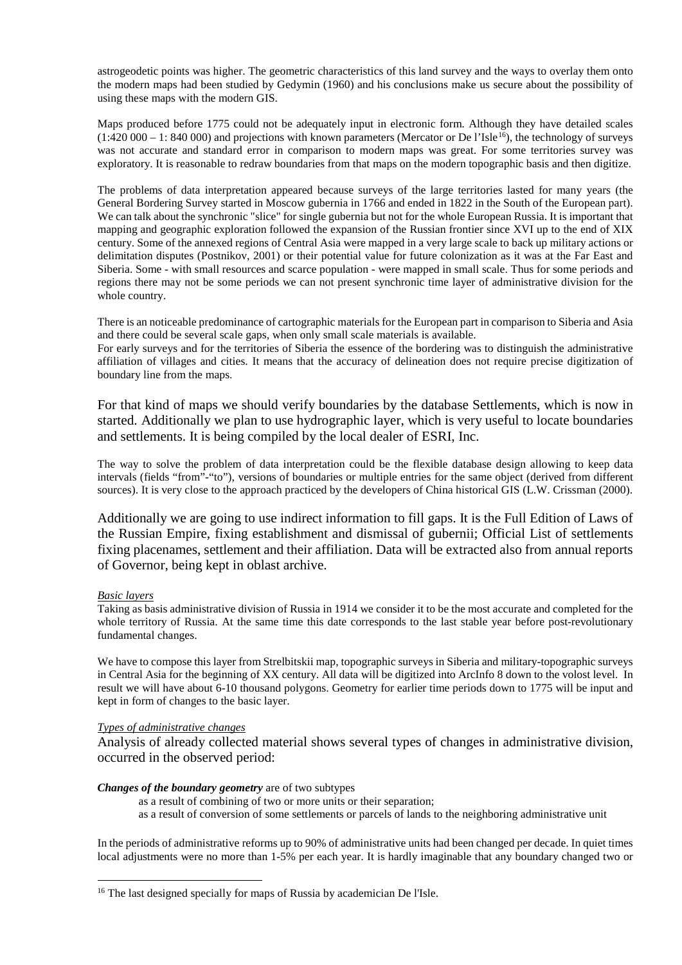astrogeodetic points was higher. The geometric characteristics of this land survey and the ways to overlay them onto the modern maps had been studied by Gedymin (1960) and his conclusions make us secure about the possibility of using these maps with the modern GIS.

Maps produced before 1775 could not be adequately input in electronic form. Although they have detailed scales  $(1:420\,000 - 1: 840\,000)$  and projections with known parameters (Mercator or De l'Isle<sup>16</sup>), the technology of surveys was not accurate and standard error in comparison to modern maps was great. For some territories survey was exploratory. It is reasonable to redraw boundaries from that maps on the modern topographic basis and then digitize.

The problems of data interpretation appeared because surveys of the large territories lasted for many years (the General Bordering Survey started in Moscow gubernia in 1766 and ended in 1822 in the South of the European part). We can talk about the synchronic "slice" for single gubernia but not for the whole European Russia. It is important that mapping and geographic exploration followed the expansion of the Russian frontier since XVI up to the end of XIX century. Some of the annexed regions of Central Asia were mapped in a very large scale to back up military actions or delimitation disputes (Postnikov, 2001) or their potential value for future colonization as it was at the Far East and Siberia. Some - with small resources and scarce population - were mapped in small scale. Thus for some periods and regions there may not be some periods we can not present synchronic time layer of administrative division for the whole country.

There is an noticeable predominance of cartographic materials for the European part in comparison to Siberia and Asia and there could be several scale gaps, when only small scale materials is available.

For early surveys and for the territories of Siberia the essence of the bordering was to distinguish the administrative affiliation of villages and cities. It means that the accuracy of delineation does not require precise digitization of boundary line from the maps.

For that kind of maps we should verify boundaries by the database Settlements, which is now in started. Additionally we plan to use hydrographic layer, which is very useful to locate boundaries and settlements. It is being compiled by the local dealer of ESRI, Inc.

The way to solve the problem of data interpretation could be the flexible database design allowing to keep data intervals (fields "from"-"to"), versions of boundaries or multiple entries for the same object (derived from different sources). It is very close to the approach practiced by the developers of China historical GIS (L.W. Crissman (2000).

Additionally we are going to use indirect information to fill gaps. It is the Full Edition of Laws of the Russian Empire, fixing establishment and dismissal of gubernii; Official List of settlements fixing placenames, settlement and their affiliation. Data will be extracted also from annual reports of Governor, being kept in oblast archive.

#### *Basic layers*

Taking as basis administrative division of Russia in 1914 we consider it to be the most accurate and completed for the whole territory of Russia. At the same time this date corresponds to the last stable year before post-revolutionary fundamental changes.

We have to compose this layer from Strelbitskii map, topographic surveys in Siberia and military-topographic surveys in Central Asia for the beginning of XX century. All data will be digitized into ArcInfo 8 down to the volost level. In result we will have about 6-10 thousand polygons. Geometry for earlier time periods down to 1775 will be input and kept in form of changes to the basic layer.

#### *Types of administrative changes*

Analysis of already collected material shows several types of changes in administrative division, occurred in the observed period:

#### *Changes of the boundary geometry* are of two subtypes

as a result of combining of two or more units or their separation;

as a result of conversion of some settlements or parcels of lands to the neighboring administrative unit

In the periods of administrative reforms up to 90% of administrative units had been changed per decade. In quiet times local adjustments were no more than 1-5% per each year. It is hardly imaginable that any boundary changed two or

<span id="page-6-0"></span><sup>&</sup>lt;sup>16</sup> The last designed specially for maps of Russia by academician De l'Isle.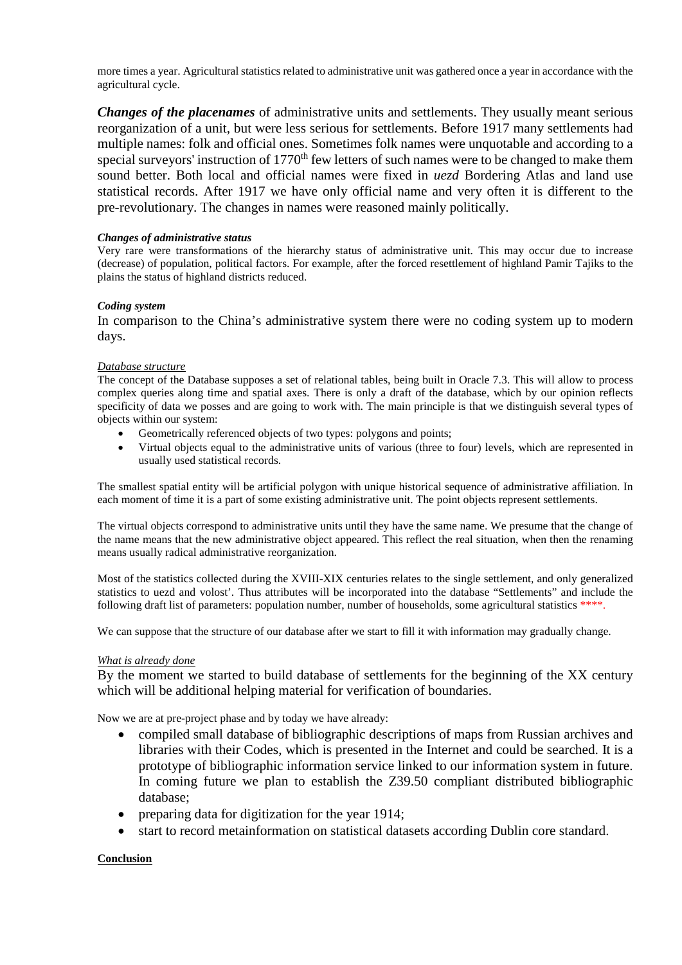more times a year. Agricultural statistics related to administrative unit was gathered once a year in accordance with the agricultural cycle.

*Changes of the placenames* of administrative units and settlements. They usually meant serious reorganization of a unit, but were less serious for settlements. Before 1917 many settlements had multiple names: folk and official ones. Sometimes folk names were unquotable and according to a special surveyors' instruction of 1770<sup>th</sup> few letters of such names were to be changed to make them sound better. Both local and official names were fixed in *uezd* Bordering Atlas and land use statistical records. After 1917 we have only official name and very often it is different to the pre-revolutionary. The changes in names were reasoned mainly politically.

## *Changes of administrative status*

Very rare were transformations of the hierarchy status of administrative unit. This may occur due to increase (decrease) of population, political factors. For example, after the forced resettlement of highland Pamir Tajiks to the plains the status of highland districts reduced.

## *Coding system*

In comparison to the China's administrative system there were no coding system up to modern days.

#### *Database structure*

The concept of the Database supposes a set of relational tables, being built in Oracle 7.3. This will allow to process complex queries along time and spatial axes. There is only a draft of the database, which by our opinion reflects specificity of data we posses and are going to work with. The main principle is that we distinguish several types of objects within our system:

- Geometrically referenced objects of two types: polygons and points;
- Virtual objects equal to the administrative units of various (three to four) levels, which are represented in usually used statistical records.

The smallest spatial entity will be artificial polygon with unique historical sequence of administrative affiliation. In each moment of time it is a part of some existing administrative unit. The point objects represent settlements.

The virtual objects correspond to administrative units until they have the same name. We presume that the change of the name means that the new administrative object appeared. This reflect the real situation, when then the renaming means usually radical administrative reorganization.

Most of the statistics collected during the XVIII-XIX centuries relates to the single settlement, and only generalized statistics to uezd and volost'. Thus attributes will be incorporated into the database "Settlements" and include the following draft list of parameters: population number, number of households, some agricultural statistics \*\*\*\*.

We can suppose that the structure of our database after we start to fill it with information may gradually change.

#### *What is already done*

By the moment we started to build database of settlements for the beginning of the XX century which will be additional helping material for verification of boundaries.

Now we are at pre-project phase and by today we have already:

- compiled small database of bibliographic descriptions of maps from Russian archives and libraries with their Codes, which is presented in the Internet and could be searched. It is a prototype of bibliographic information service linked to our information system in future. In coming future we plan to establish the Z39.50 compliant distributed bibliographic database;
- preparing data for digitization for the year 1914;
- start to record metainformation on statistical datasets according Dublin core standard.

# **Conclusion**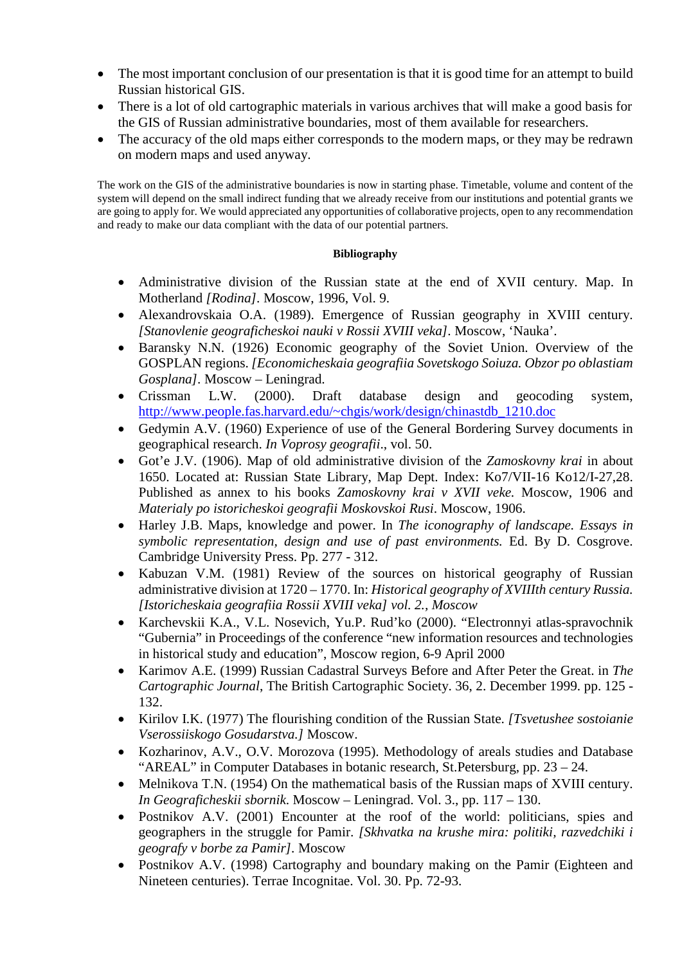- The most important conclusion of our presentation is that it is good time for an attempt to build Russian historical GIS.
- There is a lot of old cartographic materials in various archives that will make a good basis for the GIS of Russian administrative boundaries, most of them available for researchers.
- The accuracy of the old maps either corresponds to the modern maps, or they may be redrawn on modern maps and used anyway.

The work on the GIS of the administrative boundaries is now in starting phase. Timetable, volume and content of the system will depend on the small indirect funding that we already receive from our institutions and potential grants we are going to apply for. We would appreciated any opportunities of collaborative projects, open to any recommendation and ready to make our data compliant with the data of our potential partners.

# **Bibliography**

- Administrative division of the Russian state at the end of XVII century. Map. In Motherland *[Rodina].* Moscow, 1996, Vol. 9.
- Alexandrovskaia O.A. (1989). Emergence of Russian geography in XVIII century. *[Stanovlenie geograficheskoi nauki v Rossii XVIII veka].* Moscow, 'Nauka'.
- Baransky N.N. (1926) Economic geography of the Soviet Union. Overview of the GOSPLAN regions. *[Economicheskaia geografiia Sovetskogo Soiuza. Obzor po oblastiam Gosplana].* Moscow – Leningrad.
- Crissman L.W. (2000). Draft database design and geocoding system, [http://www.people.fas.harvard.edu/~chgis/work/design/chinastdb\\_1210.doc](http://www.people.fas.harvard.edu/%7Echgis/work/design/chinastdb_1210.doc)
- Gedymin A.V. (1960) Experience of use of the General Bordering Survey documents in geographical research. *In Voprosy geografii*., vol. 50.
- Got'e J.V. (1906). Map of old administrative division of the *Zamoskovny krai* in about 1650. Located at: Russian State Library, Map Dept. Index: Ko7/VII-16 Ko12/I-27,28. Published as annex to his books *Zamoskovny krai v XVII veke.* Moscow, 1906 and *Materialy po istoricheskoi geografii Moskovskoi Rusi*. Moscow, 1906.
- Harley J.B. Maps, knowledge and power. In *The iconography of landscape. Essays in symbolic representation, design and use of past environments.* Ed. By D. Cosgrove. Cambridge University Press. Pp. 277 - 312.
- Kabuzan V.M. (1981) Review of the sources on historical geography of Russian administrative division at 1720 – 1770. In: *Historical geography of XVIIIth century Russia. [Istoricheskaia geografiia Rossii XVIII veka] vol. 2., Moscow*
- Karchevskii K.A., V.L. Nosevich, Yu.P. Rud'ko (2000). "Electronnyi atlas-spravochnik "Gubernia" in Proceedings of the conference "new information resources and technologies in historical study and education", Moscow region, 6-9 April 2000
- Karimov A.E. (1999) Russian Cadastral Surveys Before and After Peter the Great. in *The Cartographic Journal*, The British Cartographic Society. 36, 2. December 1999. pp. 125 - 132.
- Kirilov I.K. (1977) The flourishing condition of the Russian State. *[Tsvetushee sostoianie Vserossiiskogo Gosudarstva.]* Moscow.
- Kozharinov, A.V., O.V. Morozova (1995). Methodology of areals studies and Database "AREAL" in Computer Databases in botanic research, St.Petersburg, pp. 23 – 24.
- Melnikova T.N. (1954) On the mathematical basis of the Russian maps of XVIII century. *In Geograficheskii sbornik*. Moscow – Leningrad. Vol. 3., pp. 117 – 130.
- Postnikov A.V. (2001) Encounter at the roof of the world: politicians, spies and geographers in the struggle for Pamir. *[Skhvatka na krushe mira: politiki, razvedchiki i geografy v borbe za Pamir].* Moscow
- Postnikov A.V. (1998) Cartography and boundary making on the Pamir (Eighteen and Nineteen centuries). Terrae Incognitae. Vol. 30. Pp. 72-93.